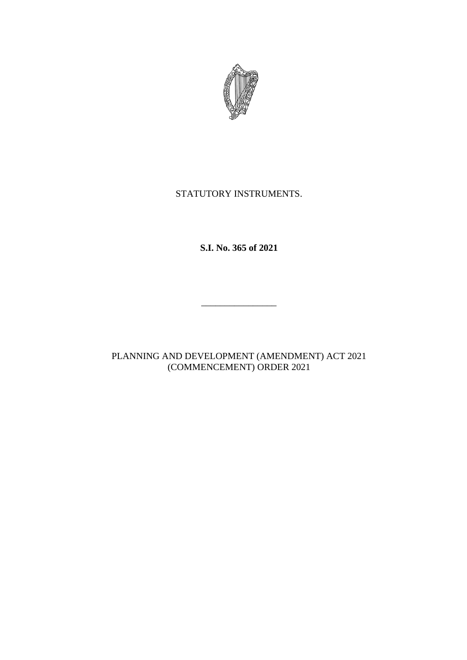

## STATUTORY INSTRUMENTS.

**S.I. No. 365 of 2021**

\_\_\_\_\_\_\_\_\_\_\_\_\_\_\_\_

PLANNING AND DEVELOPMENT (AMENDMENT) ACT 2021 (COMMENCEMENT) ORDER 2021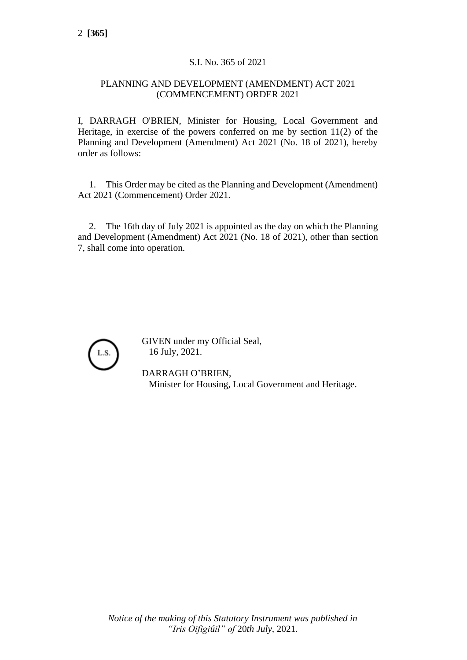## S.I. No. 365 of 2021

## PLANNING AND DEVELOPMENT (AMENDMENT) ACT 2021 (COMMENCEMENT) ORDER 2021

I, DARRAGH O'BRIEN, Minister for Housing, Local Government and Heritage, in exercise of the powers conferred on me by section 11(2) of the Planning and Development (Amendment) Act 2021 (No. 18 of 2021), hereby order as follows:

1. This Order may be cited as the Planning and Development (Amendment) Act 2021 (Commencement) Order 2021.

2. The 16th day of July 2021 is appointed as the day on which the Planning and Development (Amendment) Act 2021 (No. 18 of 2021), other than section 7, shall come into operation.



GIVEN under my Official Seal, 16 July, 2021.

DARRAGH O'BRIEN, Minister for Housing, Local Government and Heritage.